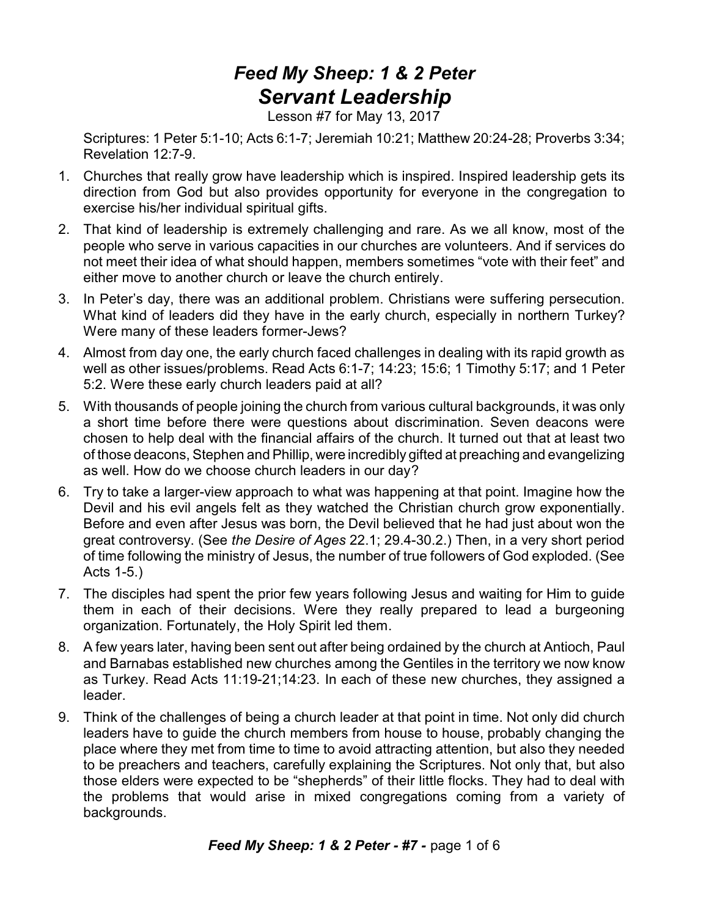## *Feed My Sheep: 1 & 2 Peter Servant Leadership*

Lesson #7 for May 13, 2017

Scriptures: 1 Peter 5:1-10; Acts 6:1-7; Jeremiah 10:21; Matthew 20:24-28; Proverbs 3:34; Revelation 12:7-9.

- 1. Churches that really grow have leadership which is inspired. Inspired leadership gets its direction from God but also provides opportunity for everyone in the congregation to exercise his/her individual spiritual gifts.
- 2. That kind of leadership is extremely challenging and rare. As we all know, most of the people who serve in various capacities in our churches are volunteers. And if services do not meet their idea of what should happen, members sometimes "vote with their feet" and either move to another church or leave the church entirely.
- 3. In Peter's day, there was an additional problem. Christians were suffering persecution. What kind of leaders did they have in the early church, especially in northern Turkey? Were many of these leaders former-Jews?
- 4. Almost from day one, the early church faced challenges in dealing with its rapid growth as well as other issues/problems. Read Acts 6:1-7; 14:23; 15:6; 1 Timothy 5:17; and 1 Peter 5:2. Were these early church leaders paid at all?
- 5. With thousands of people joining the church from various cultural backgrounds, it was only a short time before there were questions about discrimination. Seven deacons were chosen to help deal with the financial affairs of the church. It turned out that at least two of those deacons, Stephen and Phillip, were incredibly gifted at preaching and evangelizing as well. How do we choose church leaders in our day?
- 6. Try to take a larger-view approach to what was happening at that point. Imagine how the Devil and his evil angels felt as they watched the Christian church grow exponentially. Before and even after Jesus was born, the Devil believed that he had just about won the great controversy. (See *the Desire of Ages* 22.1; 29.4-30.2.) Then, in a very short period of time following the ministry of Jesus, the number of true followers of God exploded. (See Acts 1-5.)
- 7. The disciples had spent the prior few years following Jesus and waiting for Him to guide them in each of their decisions. Were they really prepared to lead a burgeoning organization. Fortunately, the Holy Spirit led them.
- 8. A few years later, having been sent out after being ordained by the church at Antioch, Paul and Barnabas established new churches among the Gentiles in the territory we now know as Turkey. Read Acts 11:19-21;14:23. In each of these new churches, they assigned a leader.
- 9. Think of the challenges of being a church leader at that point in time. Not only did church leaders have to guide the church members from house to house, probably changing the place where they met from time to time to avoid attracting attention, but also they needed to be preachers and teachers, carefully explaining the Scriptures. Not only that, but also those elders were expected to be "shepherds" of their little flocks. They had to deal with the problems that would arise in mixed congregations coming from a variety of backgrounds.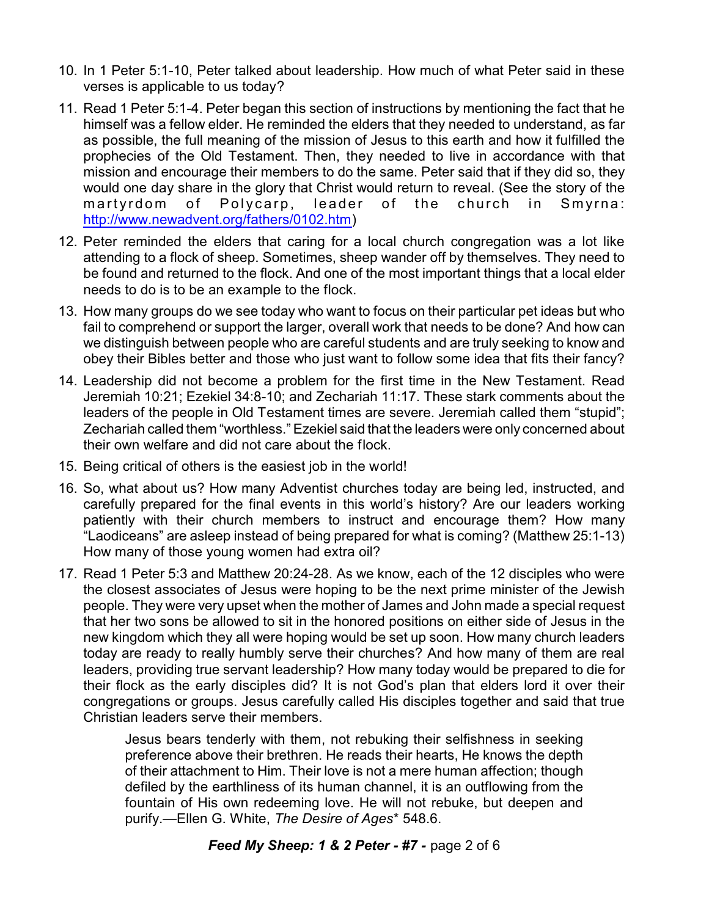- 10. In 1 Peter 5:1-10, Peter talked about leadership. How much of what Peter said in these verses is applicable to us today?
- 11. Read 1 Peter 5:1-4. Peter began this section of instructions by mentioning the fact that he himself was a fellow elder. He reminded the elders that they needed to understand, as far as possible, the full meaning of the mission of Jesus to this earth and how it fulfilled the prophecies of the Old Testament. Then, they needed to live in accordance with that mission and encourage their members to do the same. Peter said that if they did so, they would one day share in the glory that Christ would return to reveal. (See the story of the martyrdom of Polycarp, leader of the church in Smyrna: <http://www.newadvent.org/fathers/0102.htm>)
- 12. Peter reminded the elders that caring for a local church congregation was a lot like attending to a flock of sheep. Sometimes, sheep wander off by themselves. They need to be found and returned to the flock. And one of the most important things that a local elder needs to do is to be an example to the flock.
- 13. How many groups do we see today who want to focus on their particular pet ideas but who fail to comprehend or support the larger, overall work that needs to be done? And how can we distinguish between people who are careful students and are truly seeking to know and obey their Bibles better and those who just want to follow some idea that fits their fancy?
- 14. Leadership did not become a problem for the first time in the New Testament. Read Jeremiah 10:21; Ezekiel 34:8-10; and Zechariah 11:17. These stark comments about the leaders of the people in Old Testament times are severe. Jeremiah called them "stupid"; Zechariah called them "worthless." Ezekiel said that the leaders were only concerned about their own welfare and did not care about the flock.
- 15. Being critical of others is the easiest job in the world!
- 16. So, what about us? How many Adventist churches today are being led, instructed, and carefully prepared for the final events in this world's history? Are our leaders working patiently with their church members to instruct and encourage them? How many "Laodiceans" are asleep instead of being prepared for what is coming? (Matthew 25:1-13) How many of those young women had extra oil?
- 17. Read 1 Peter 5:3 and Matthew 20:24-28. As we know, each of the 12 disciples who were the closest associates of Jesus were hoping to be the next prime minister of the Jewish people. They were very upset when the mother of James and John made a special request that her two sons be allowed to sit in the honored positions on either side of Jesus in the new kingdom which they all were hoping would be set up soon. How many church leaders today are ready to really humbly serve their churches? And how many of them are real leaders, providing true servant leadership? How many today would be prepared to die for their flock as the early disciples did? It is not God's plan that elders lord it over their congregations or groups. Jesus carefully called His disciples together and said that true Christian leaders serve their members.

Jesus bears tenderly with them, not rebuking their selfishness in seeking preference above their brethren. He reads their hearts, He knows the depth of their attachment to Him. Their love is not a mere human affection; though defiled by the earthliness of its human channel, it is an outflowing from the fountain of His own redeeming love. He will not rebuke, but deepen and purify.—Ellen G. White, *The Desire of Ages*\* 548.6.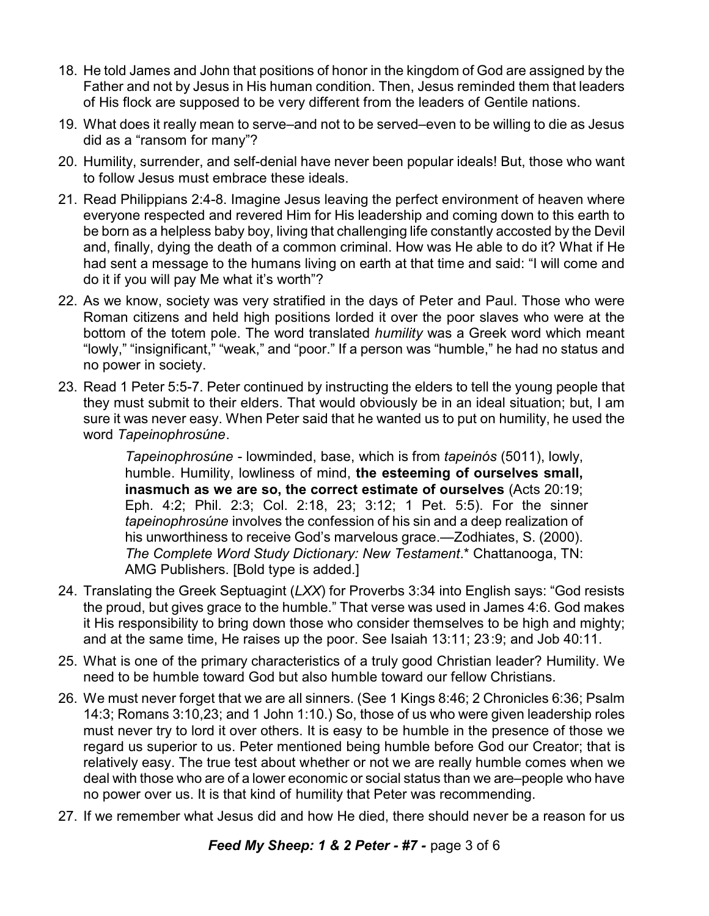- 18. He told James and John that positions of honor in the kingdom of God are assigned by the Father and not by Jesus in His human condition. Then, Jesus reminded them that leaders of His flock are supposed to be very different from the leaders of Gentile nations.
- 19. What does it really mean to serve–and not to be served–even to be willing to die as Jesus did as a "ransom for many"?
- 20. Humility, surrender, and self-denial have never been popular ideals! But, those who want to follow Jesus must embrace these ideals.
- 21. Read Philippians 2:4-8. Imagine Jesus leaving the perfect environment of heaven where everyone respected and revered Him for His leadership and coming down to this earth to be born as a helpless baby boy, living that challenging life constantly accosted by the Devil and, finally, dying the death of a common criminal. How was He able to do it? What if He had sent a message to the humans living on earth at that time and said: "I will come and do it if you will pay Me what it's worth"?
- 22. As we know, society was very stratified in the days of Peter and Paul. Those who were Roman citizens and held high positions lorded it over the poor slaves who were at the bottom of the totem pole. The word translated *humility* was a Greek word which meant "lowly," "insignificant," "weak," and "poor." If a person was "humble," he had no status and no power in society.
- 23. Read 1 Peter 5:5-7. Peter continued by instructing the elders to tell the young people that they must submit to their elders. That would obviously be in an ideal situation; but, I am sure it was never easy. When Peter said that he wanted us to put on humility, he used the word *Tapeinophrosúne*.

*Tapeinophrosúne* - lowminded, base, which is from *tapeinós* (5011), lowly, humble. Humility, lowliness of mind, **the esteeming of ourselves small, inasmuch as we are so, the correct estimate of ourselves** (Acts 20:19; Eph. 4:2; Phil. 2:3; Col. 2:18, 23; 3:12; 1 Pet. 5:5). For the sinner *tapeinophrosúne* involves the confession of his sin and a deep realization of his unworthiness to receive God's marvelous grace.—Zodhiates, S. (2000). *The Complete Word Study Dictionary: New Testament*.\* Chattanooga, TN: AMG Publishers. [Bold type is added.]

- 24. Translating the Greek Septuagint (*LXX*) for Proverbs 3:34 into English says: "God resists the proud, but gives grace to the humble." That verse was used in James 4:6. God makes it His responsibility to bring down those who consider themselves to be high and mighty; and at the same time, He raises up the poor. See Isaiah 13:11; 23:9; and Job 40:11.
- 25. What is one of the primary characteristics of a truly good Christian leader? Humility. We need to be humble toward God but also humble toward our fellow Christians.
- 26. We must never forget that we are all sinners. (See 1 Kings 8:46; 2 Chronicles 6:36; Psalm 14:3; Romans 3:10,23; and 1 John 1:10.) So, those of us who were given leadership roles must never try to lord it over others. It is easy to be humble in the presence of those we regard us superior to us. Peter mentioned being humble before God our Creator; that is relatively easy. The true test about whether or not we are really humble comes when we deal with those who are of a lower economic or social status than we are–people who have no power over us. It is that kind of humility that Peter was recommending.
- 27. If we remember what Jesus did and how He died, there should never be a reason for us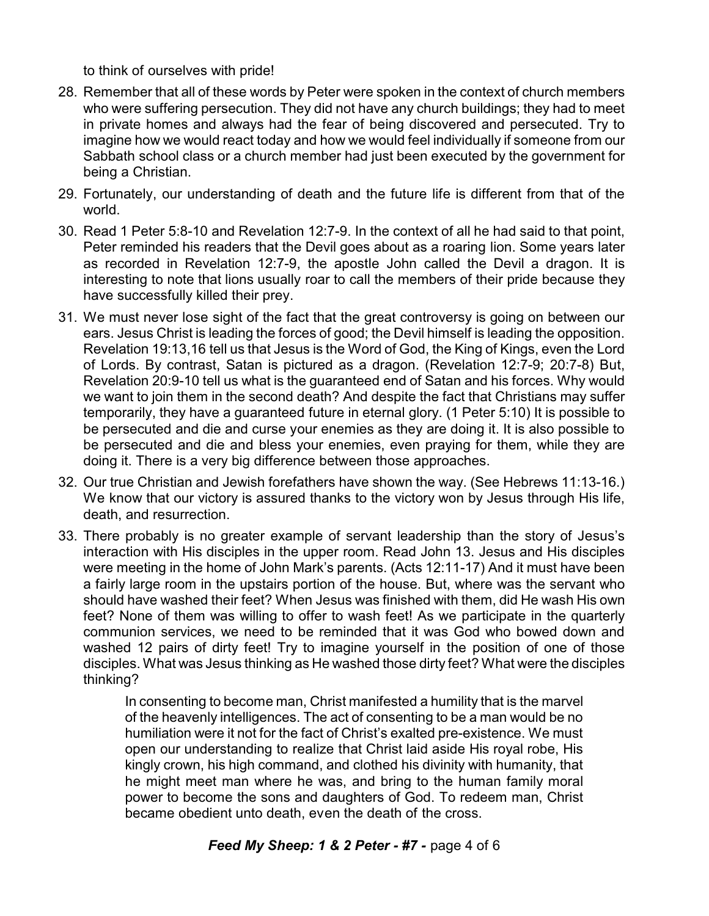to think of ourselves with pride!

- 28. Remember that all of these words by Peter were spoken in the context of church members who were suffering persecution. They did not have any church buildings; they had to meet in private homes and always had the fear of being discovered and persecuted. Try to imagine how we would react today and how we would feel individually if someone from our Sabbath school class or a church member had just been executed by the government for being a Christian.
- 29. Fortunately, our understanding of death and the future life is different from that of the world.
- 30. Read 1 Peter 5:8-10 and Revelation 12:7-9. In the context of all he had said to that point, Peter reminded his readers that the Devil goes about as a roaring lion. Some years later as recorded in Revelation 12:7-9, the apostle John called the Devil a dragon. It is interesting to note that lions usually roar to call the members of their pride because they have successfully killed their prey.
- 31. We must never lose sight of the fact that the great controversy is going on between our ears. Jesus Christ is leading the forces of good; the Devil himself is leading the opposition. Revelation 19:13,16 tell us that Jesus is the Word of God, the King of Kings, even the Lord of Lords. By contrast, Satan is pictured as a dragon. (Revelation 12:7-9; 20:7-8) But, Revelation 20:9-10 tell us what is the guaranteed end of Satan and his forces. Why would we want to join them in the second death? And despite the fact that Christians may suffer temporarily, they have a guaranteed future in eternal glory. (1 Peter 5:10) It is possible to be persecuted and die and curse your enemies as they are doing it. It is also possible to be persecuted and die and bless your enemies, even praying for them, while they are doing it. There is a very big difference between those approaches.
- 32. Our true Christian and Jewish forefathers have shown the way. (See Hebrews 11:13-16.) We know that our victory is assured thanks to the victory won by Jesus through His life, death, and resurrection.
- 33. There probably is no greater example of servant leadership than the story of Jesus's interaction with His disciples in the upper room. Read John 13. Jesus and His disciples were meeting in the home of John Mark's parents. (Acts 12:11-17) And it must have been a fairly large room in the upstairs portion of the house. But, where was the servant who should have washed their feet? When Jesus was finished with them, did He wash His own feet? None of them was willing to offer to wash feet! As we participate in the quarterly communion services, we need to be reminded that it was God who bowed down and washed 12 pairs of dirty feet! Try to imagine yourself in the position of one of those disciples. What was Jesus thinking as He washed those dirty feet? What were the disciples thinking?

In consenting to become man, Christ manifested a humility that is the marvel of the heavenly intelligences. The act of consenting to be a man would be no humiliation were it not for the fact of Christ's exalted pre-existence. We must open our understanding to realize that Christ laid aside His royal robe, His kingly crown, his high command, and clothed his divinity with humanity, that he might meet man where he was, and bring to the human family moral power to become the sons and daughters of God. To redeem man, Christ became obedient unto death, even the death of the cross.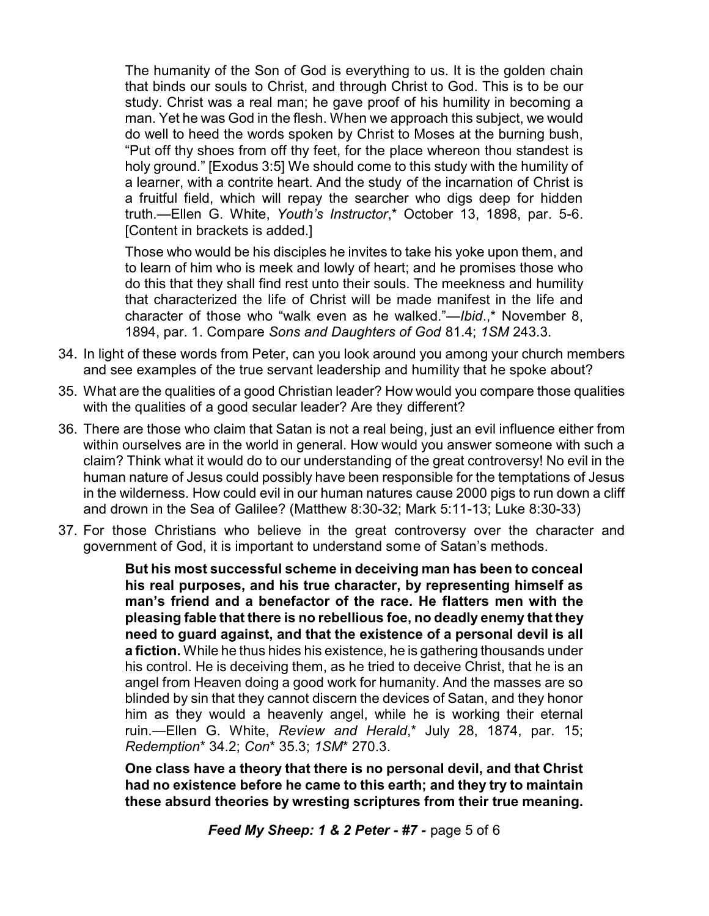The humanity of the Son of God is everything to us. It is the golden chain that binds our souls to Christ, and through Christ to God. This is to be our study. Christ was a real man; he gave proof of his humility in becoming a man. Yet he was God in the flesh. When we approach this subject, we would do well to heed the words spoken by Christ to Moses at the burning bush, "Put off thy shoes from off thy feet, for the place whereon thou standest is holy ground." [Exodus 3:5] We should come to this study with the humility of a learner, with a contrite heart. And the study of the incarnation of Christ is a fruitful field, which will repay the searcher who digs deep for hidden truth.—Ellen G. White, *Youth's Instructor*,\* October 13, 1898, par. 5-6. [Content in brackets is added.]

Those who would be his disciples he invites to take his yoke upon them, and to learn of him who is meek and lowly of heart; and he promises those who do this that they shall find rest unto their souls. The meekness and humility that characterized the life of Christ will be made manifest in the life and character of those who "walk even as he walked."—*Ibid*.,\* November 8, 1894, par. 1. Compare *Sons and Daughters of God* 81.4; *1SM* 243.3.

- 34. In light of these words from Peter, can you look around you among your church members and see examples of the true servant leadership and humility that he spoke about?
- 35. What are the qualities of a good Christian leader? How would you compare those qualities with the qualities of a good secular leader? Are they different?
- 36. There are those who claim that Satan is not a real being, just an evil influence either from within ourselves are in the world in general. How would you answer someone with such a claim? Think what it would do to our understanding of the great controversy! No evil in the human nature of Jesus could possibly have been responsible for the temptations of Jesus in the wilderness. How could evil in our human natures cause 2000 pigs to run down a cliff and drown in the Sea of Galilee? (Matthew 8:30-32; Mark 5:11-13; Luke 8:30-33)
- 37. For those Christians who believe in the great controversy over the character and government of God, it is important to understand some of Satan's methods.

**But his most successful scheme in deceiving man has been to conceal his real purposes, and his true character, by representing himself as man's friend and a benefactor of the race. He flatters men with the pleasing fable that there is no rebellious foe, no deadly enemy that they need to guard against, and that the existence of a personal devil is all a fiction.** While he thus hides his existence, he is gathering thousands under his control. He is deceiving them, as he tried to deceive Christ, that he is an angel from Heaven doing a good work for humanity. And the masses are so blinded by sin that they cannot discern the devices of Satan, and they honor him as they would a heavenly angel, while he is working their eternal ruin.—Ellen G. White, *Review and Herald*,\* July 28, 1874, par. 15; *Redemption*\* 34.2; *Con*\* 35.3; *1SM*\* 270.3.

**One class have a theory that there is no personal devil, and that Christ had no existence before he came to this earth; and they try to maintain these absurd theories by wresting scriptures from their true meaning.**

*Feed My Sheep: 1 & 2 Peter - #7 -* page 5 of 6